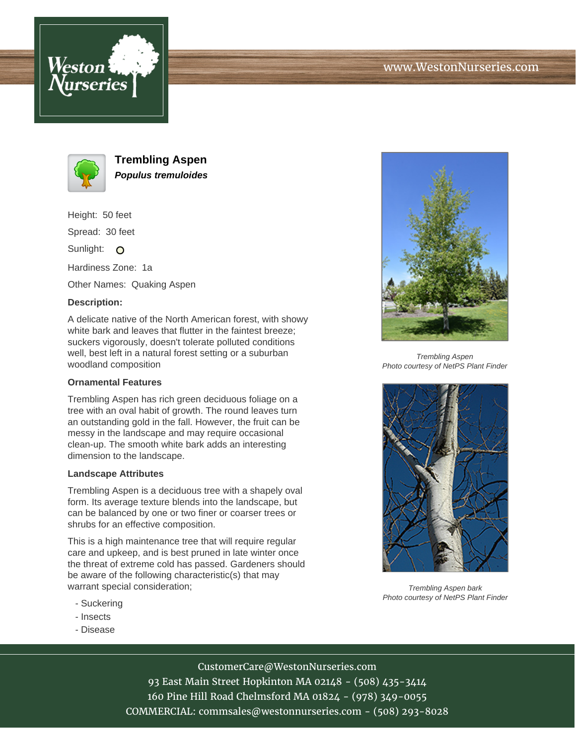



**Trembling Aspen Populus tremuloides**

Height: 50 feet

Spread: 30 feet

Sunlight: O

Hardiness Zone: 1a

Other Names: Quaking Aspen

## **Description:**

A delicate native of the North American forest, with showy white bark and leaves that flutter in the faintest breeze; suckers vigorously, doesn't tolerate polluted conditions well, best left in a natural forest setting or a suburban woodland composition

#### **Ornamental Features**

Trembling Aspen has rich green deciduous foliage on a tree with an oval habit of growth. The round leaves turn an outstanding gold in the fall. However, the fruit can be messy in the landscape and may require occasional clean-up. The smooth white bark adds an interesting dimension to the landscape.

#### **Landscape Attributes**

Trembling Aspen is a deciduous tree with a shapely oval form. Its average texture blends into the landscape, but can be balanced by one or two finer or coarser trees or shrubs for an effective composition.

This is a high maintenance tree that will require regular care and upkeep, and is best pruned in late winter once the threat of extreme cold has passed. Gardeners should be aware of the following characteristic(s) that may warrant special consideration;

- Suckering
- Insects
- Disease



Trembling Aspen Photo courtesy of NetPS Plant Finder



Trembling Aspen bark Photo courtesy of NetPS Plant Finder

# CustomerCare@WestonNurseries.com

93 East Main Street Hopkinton MA 02148 - (508) 435-3414 160 Pine Hill Road Chelmsford MA 01824 - (978) 349-0055 COMMERCIAL: commsales@westonnurseries.com - (508) 293-8028